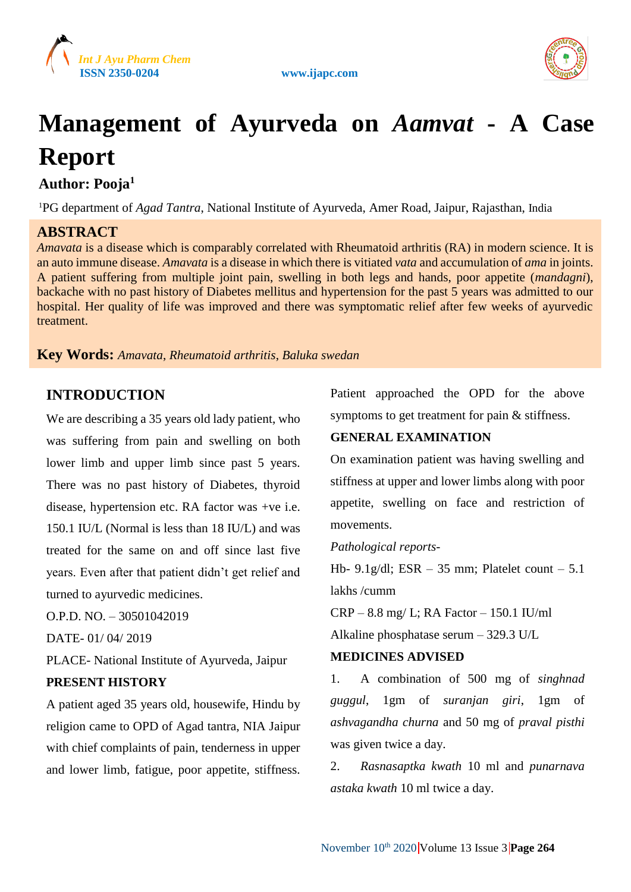





# **Management of Ayurveda on** *Aamvat* **- A Case Report**

**Author: Pooja<sup>1</sup>**

<sup>1</sup>PG department of *Agad Tantra*, National Institute of Ayurveda, Amer Road, Jaipur, Rajasthan, India

## **ABSTRACT**

*Amavata* is a disease which is comparably correlated with Rheumatoid arthritis (RA) in modern science. It is an auto immune disease. *Amavata* is a disease in which there is vitiated *vata* and accumulation of *ama* in joints. A patient suffering from multiple joint pain, swelling in both legs and hands, poor appetite (*mandagni*), backache with no past history of Diabetes mellitus and hypertension for the past 5 years was admitted to our hospital. Her quality of life was improved and there was symptomatic relief after few weeks of ayurvedic treatment.

### **Key Words:** *Amavata*, *Rheumatoid arthritis*, *Baluka swedan*

## **INTRODUCTION**

We are describing a 35 years old lady patient, who was suffering from pain and swelling on both lower limb and upper limb since past 5 years. There was no past history of Diabetes, thyroid disease, hypertension etc. RA factor was +ve i.e. 150.1 IU/L (Normal is less than 18 IU/L) and was treated for the same on and off since last five years. Even after that patient didn't get relief and turned to ayurvedic medicines.

O.P.D. NO. – 30501042019

DATE- 01/ 04/ 2019

PLACE- National Institute of Ayurveda, Jaipur

#### **PRESENT HISTORY**

A patient aged 35 years old, housewife, Hindu by religion came to OPD of Agad tantra, NIA Jaipur with chief complaints of pain, tenderness in upper and lower limb, fatigue, poor appetite, stiffness. Patient approached the OPD for the above symptoms to get treatment for pain & stiffness.

#### **GENERAL EXAMINATION**

On examination patient was having swelling and stiffness at upper and lower limbs along with poor appetite, swelling on face and restriction of movements.

#### *Pathological reports-*

Hb-  $9.1g/dl$ ; ESR – 35 mm; Platelet count – 5.1 lakhs /cumm

CRP – 8.8 mg/ L; RA Factor – 150.1 IU/ml Alkaline phosphatase serum – 329.3 U/L

#### **MEDICINES ADVISED**

1. A combination of 500 mg of *singhnad guggul*, 1gm of *suranjan giri*, 1gm of *ashvagandha churna* and 50 mg of *praval pisthi* was given twice a day.

2. *Rasnasaptka kwath* 10 ml and *punarnava astaka kwath* 10 ml twice a day.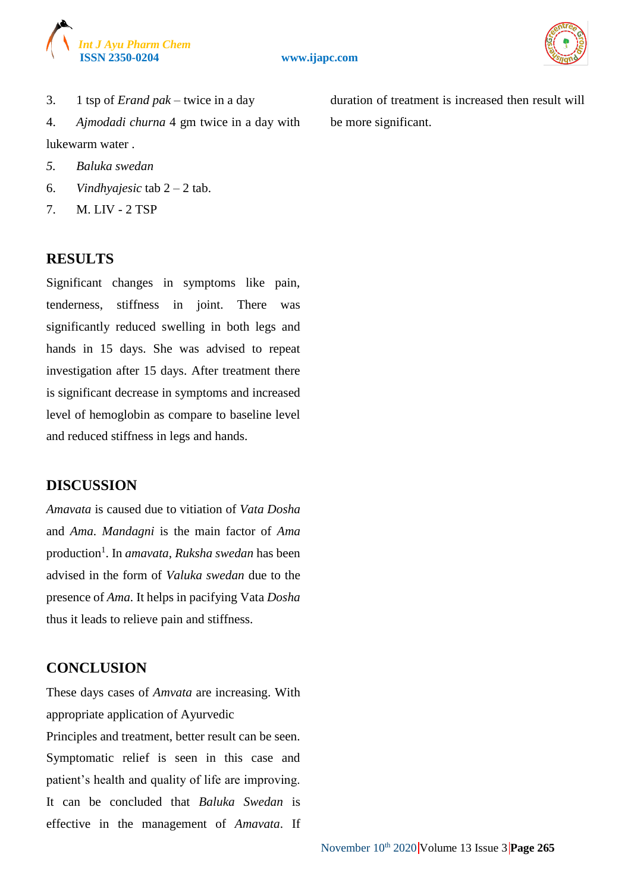



3. 1 tsp of *Erand pak* – twice in a day

4. *Ajmodadi churna* 4 gm twice in a day with lukewarm water .

- *5. Baluka swedan*
- 6. *Vindhyajesic* tab 2 2 tab.
- 7. M. LIV 2 TSP

#### **RESULTS**

Significant changes in symptoms like pain, tenderness, stiffness in joint. There was significantly reduced swelling in both legs and hands in 15 days. She was advised to repeat investigation after 15 days. After treatment there is significant decrease in symptoms and increased level of hemoglobin as compare to baseline level and reduced stiffness in legs and hands.

#### **DISCUSSION**

*Amavata* is caused due to vitiation of *Vata Dosha* and *Ama*. *Mandagni* is the main factor of *Ama* production<sup>1</sup>. In *amavata*, *Ruksha swedan* has been advised in the form of *Valuka swedan* due to the presence of *Ama*. It helps in pacifying Vata *Dosha* thus it leads to relieve pain and stiffness.

## **CONCLUSION**

These days cases of *Amvata* are increasing. With appropriate application of Ayurvedic Principles and treatment, better result can be seen. Symptomatic relief is seen in this case and patient's health and quality of life are improving. It can be concluded that *Baluka Swedan* is effective in the management of *Amavata*. If duration of treatment is increased then result will be more significant.